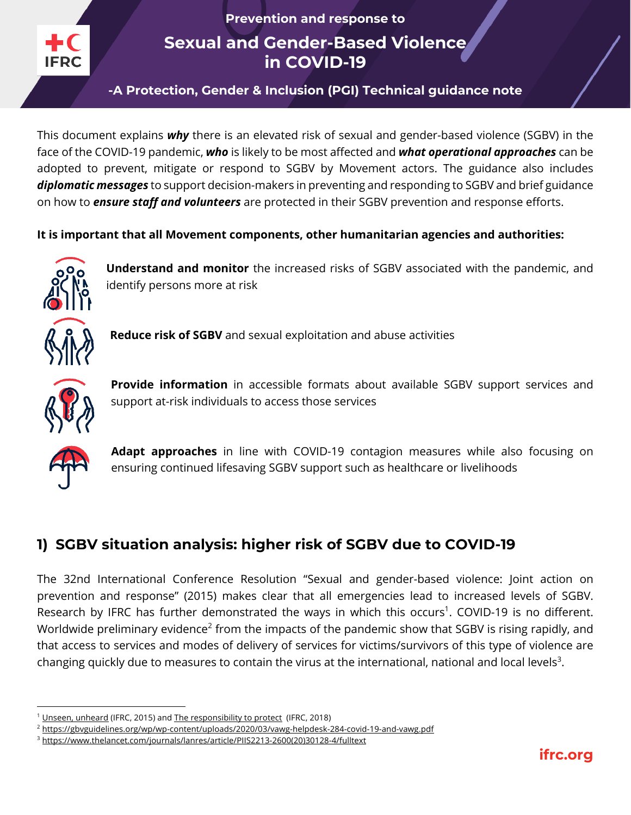**Prevention and response to**

**Sexual and Gender-Based Violence in COVID-19**

**-A Protection, Gender & Inclusion (PGI) Technical guidance note**

This document explains *why* there is an elevated risk of sexual and gender-based violence (SGBV) in the face of the COVID-19 pandemic, *who* is likely to be most affected and *what operational approaches* can be adopted to prevent, mitigate or respond to SGBV by Movement actors. The guidance also includes *diplomatic messages* to support decision-makers in preventing and responding to SGBV and brief guidance on how to *ensure staff and volunteers* are protected in their SGBV prevention and response efforts.

**It is important that all Movement components, other humanitarian agencies and authorities:**



**Understand and monitor** the increased risks of SGBV associated with the pandemic, and identify persons more at risk



**Reduce risk of SGBV** and sexual exploitation and abuse activities



**Provide information** in accessible formats about available SGBV support services and support at-risk individuals to access those services



**Adapt approaches** in line with COVID-19 contagion measures while also focusing on ensuring continued lifesaving SGBV support such as healthcare or livelihoods

# **1) SGBV situation analysis: higher risk of SGBV due to COVID-19**

The 32nd International Conference Resolution "Sexual and gender-based violence: Joint action on prevention and response" (2015) makes clear that all emergencies lead to increased levels of SGBV. Research by IFRC has further demonstrated the ways in which this occurs<sup>1</sup>. COVID-19 is no different. Worldwide preliminary evidence<sup>2</sup> from the impacts of the pandemic show that SGBV is rising rapidly, and that access to services and modes of delivery of services for victims/survivors of this type of violence are changing quickly due to measures to contain the virus at the international, national and local levels<sup>3</sup>.

 $1$  Unseen, unheard (IFRC, 2015) and The responsibility to protect (IFRC, 2018)

<sup>2</sup> https://gbvguidelines.org/wp/wp-content/uploads/2020/03/vawg-helpdesk-284-covid-19-and-vawg.pdf

<sup>3</sup> https://www.thelancet.com/journals/lanres/article/PIIS2213-2600(20)30128-4/fulltext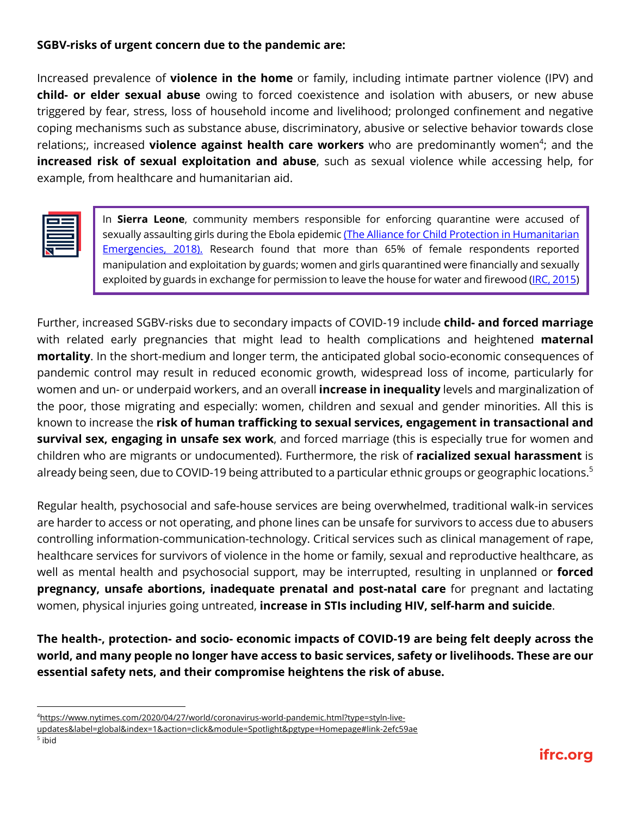### **SGBV-risks of urgent concern due to the pandemic are:**

Increased prevalence of **violence in the home** or family, including intimate partner violence (IPV) and **child- or elder sexual abuse** owing to forced coexistence and isolation with abusers, or new abuse triggered by fear, stress, loss of household income and livelihood; prolonged confinement and negative coping mechanisms such as substance abuse, discriminatory, abusive or selective behavior towards close relations;, increased **violence against health care workers** who are predominantly women<sup>4</sup>; and the **increased risk of sexual exploitation and abuse**, such as sexual violence while accessing help, for example, from healthcare and humanitarian aid.

In **Sierra Leone**, community members responsible for enforcing quarantine were accused of sexually assaulting girls during the Ebola epidemic (The Alliance for Child Protection in Humanitarian Emergencies, 2018). Research found that more than 65% of female respondents reported manipulation and exploitation by guards; women and girls quarantined were financially and sexually exploited by guards in exchange for permission to leave the house for water and firewood (IRC, 2015)

Further, increased SGBV-risks due to secondary impacts of COVID-19 include **child- and forced marriage** with related early pregnancies that might lead to health complications and heightened **maternal mortality**. In the short-medium and longer term, the anticipated global socio-economic consequences of pandemic control may result in reduced economic growth, widespread loss of income, particularly for women and un- or underpaid workers, and an overall **increase in inequality** levels and marginalization of the poor, those migrating and especially: women, children and sexual and gender minorities. All this is known to increase the **risk of human trafficking to sexual services, engagement in transactional and survival sex, engaging in unsafe sex work**, and forced marriage (this is especially true for women and children who are migrants or undocumented). Furthermore, the risk of **racialized sexual harassment** is already being seen, due to COVID-19 being attributed to a particular ethnic groups or geographic locations.<sup>5</sup>

Regular health, psychosocial and safe-house services are being overwhelmed, traditional walk-in services are harder to access or not operating, and phone lines can be unsafe for survivors to access due to abusers controlling information-communication-technology. Critical services such as clinical management of rape, healthcare services for survivors of violence in the home or family, sexual and reproductive healthcare, as well as mental health and psychosocial support, may be interrupted, resulting in unplanned or **forced pregnancy, unsafe abortions, inadequate prenatal and post-natal care** for pregnant and lactating women, physical injuries going untreated, **increase in STIs including HIV, self-harm and suicide**.

**The health-, protection- and socio- economic impacts of COVID-19 are being felt deeply across the world, and many people no longer have access to basic services, safety or livelihoods. These are our essential safety nets, and their compromise heightens the risk of abuse.** 

<sup>4</sup> https://www.nytimes.com/2020/04/27/world/coronavirus-world-pandemic.html?type=styln-live-

updates&label=global&index=1&action=click&module=Spotlight&pgtype=Homepage#link-2efc59ae

<sup>5</sup> ibid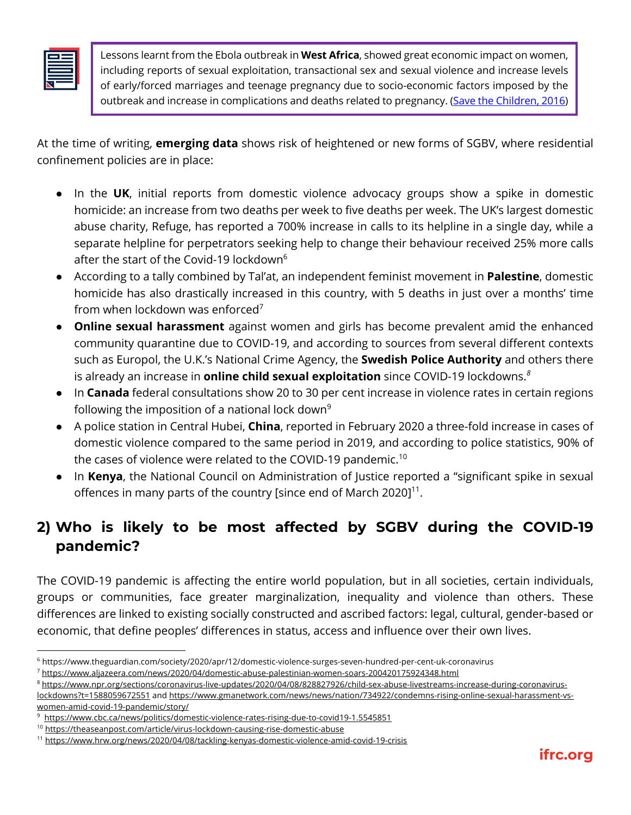Lessons learnt from the Ebola outbreak in **West Africa**, showed great economic impact on women, including reports of sexual exploitation, transactional sex and sexual violence and increase levels of early/forced marriages and teenage pregnancy due to socio-economic factors imposed by the outbreak and increase in complications and deaths related to pregnancy. (Save the Children, 2016)

At the time of writing, **emerging data** shows risk of heightened or new forms of SGBV, where residential confinement policies are in place:

- In the **UK**, initial reports from domestic violence advocacy groups show a spike in domestic homicide: an increase from two deaths per week to five deaths per week. The UK's largest domestic abuse charity, Refuge, has reported a 700% increase in calls to its helpline in a single day, while a separate helpline for perpetrators seeking help to change their behaviour received 25% more calls after the start of the Covid-19 lockdown $6$
- According to a tally combined by Tal'at, an independent feminist movement in **Palestine**, domestic homicide has also drastically increased in this country, with 5 deaths in just over a months' time from when lockdown was enforced<sup>7</sup>
- **Online sexual harassment** against women and girls has become prevalent amid the enhanced community quarantine due to COVID-19, and according to sources from several different contexts such as Europol, the U.K.'s National Crime Agency, the **Swedish Police Authority** and others there is already an increase in **online child sexual exploitation** since COVID-19 lockdowns. *8*
- In **Canada** federal consultations show 20 to 30 per cent increase in violence rates in certain regions following the imposition of a national lock down<sup>9</sup>
- A police station in Central Hubei, **China**, reported in February 2020 a three-fold increase in cases of domestic violence compared to the same period in 2019, and according to police statistics, 90% of the cases of violence were related to the COVID-19 pandemic. $^{\rm 10}$
- In **Kenya**, the National Council on Administration of Justice reported a "significant spike in sexual offences in many parts of the country [since end of March 2020]<sup>11</sup>.

# **2) Who is likely to be most affected by SGBV during the COVID-19 pandemic?**

The COVID-19 pandemic is affecting the entire world population, but in all societies, certain individuals, groups or communities, face greater marginalization, inequality and violence than others. These differences are linked to existing socially constructed and ascribed factors: legal, cultural, gender-based or economic, that define peoples' differences in status, access and influence over their own lives.

<sup>6</sup> https://www.theguardian.com/society/2020/apr/12/domestic-violence-surges-seven-hundred-per-cent-uk-coronavirus

<sup>7</sup> https://www.aljazeera.com/news/2020/04/domestic-abuse-palestinian-women-soars-200420175924348.html

<sup>8</sup> https://www.npr.org/sections/coronavirus-live-updates/2020/04/08/828827926/child-sex-abuse-livestreams-increase-during-coronaviruslockdowns?t=1588059672551 and https://www.gmanetwork.com/news/news/nation/734922/condemns-rising-online-sexual-harassment-vswomen-amid-covid-19-pandemic/story/

<sup>&</sup>lt;sup>9</sup> https://www.cbc.ca/news/politics/domestic-violence-rates-rising-due-to-covid19-1.5545851

<sup>&</sup>lt;sup>10</sup> https://theaseanpost.com/article/virus-lockdown-causing-rise-domestic-abuse

<sup>11</sup> https://www.hrw.org/news/2020/04/08/tackling-kenyas-domestic-violence-amid-covid-19-crisis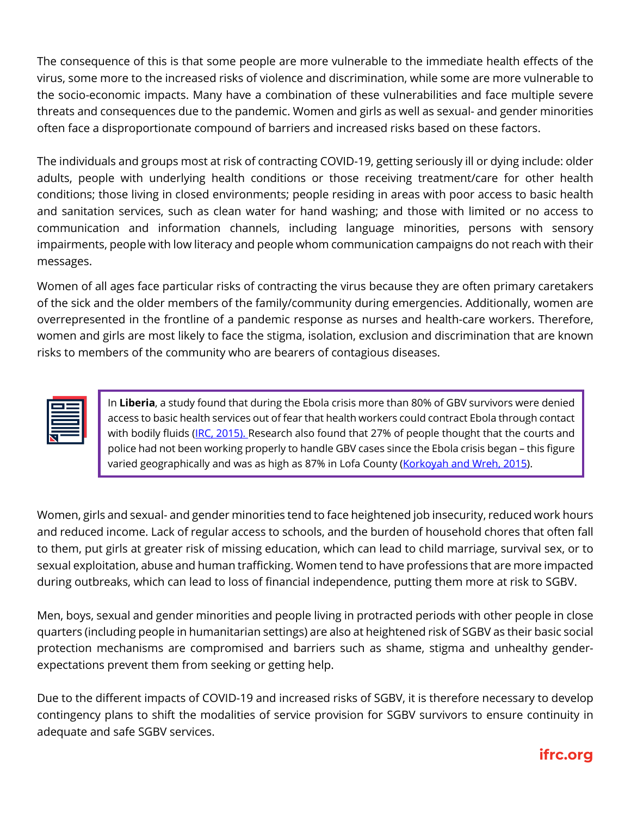The consequence of this is that some people are more vulnerable to the immediate health effects of the virus, some more to the increased risks of violence and discrimination, while some are more vulnerable to the socio-economic impacts. Many have a combination of these vulnerabilities and face multiple severe threats and consequences due to the pandemic. Women and girls as well as sexual- and gender minorities often face a disproportionate compound of barriers and increased risks based on these factors.

The individuals and groups most at risk of contracting COVID-19, getting seriously ill or dying include: older adults, people with underlying health conditions or those receiving treatment/care for other health conditions; those living in closed environments; people residing in areas with poor access to basic health and sanitation services, such as clean water for hand washing; and those with limited or no access to communication and information channels, including language minorities, persons with sensory impairments, people with low literacy and people whom communication campaigns do not reach with their messages.

Women of all ages face particular risks of contracting the virus because they are often primary caretakers of the sick and the older members of the family/community during emergencies. Additionally, women are overrepresented in the frontline of a pandemic response as nurses and health-care workers. Therefore, women and girls are most likely to face the stigma, isolation, exclusion and discrimination that are known risks to members of the community who are bearers of contagious diseases.

In **Liberia**, a study found that during the Ebola crisis more than 80% of GBV survivors were denied access to basic health services out of fear that health workers could contract Ebola through contact with bodily fluids (IRC, 2015). Research also found that 27% of people thought that the courts and police had not been working properly to handle GBV cases since the Ebola crisis began – this figure varied geographically and was as high as 87% in Lofa County (Korkoyah and Wreh, 2015).

Women, girls and sexual- and gender minorities tend to face heightened job insecurity, reduced work hours and reduced income. Lack of regular access to schools, and the burden of household chores that often fall to them, put girls at greater risk of missing education, which can lead to child marriage, survival sex, or to sexual exploitation, abuse and human trafficking. Women tend to have professions that are more impacted during outbreaks, which can lead to loss of financial independence, putting them more at risk to SGBV.

Men, boys, sexual and gender minorities and people living in protracted periods with other people in close quarters (including people in humanitarian settings) are also at heightened risk of SGBV as their basic social protection mechanisms are compromised and barriers such as shame, stigma and unhealthy genderexpectations prevent them from seeking or getting help.

Due to the different impacts of COVID-19 and increased risks of SGBV, it is therefore necessary to develop contingency plans to shift the modalities of service provision for SGBV survivors to ensure continuity in adequate and safe SGBV services.

# **ifrc.org**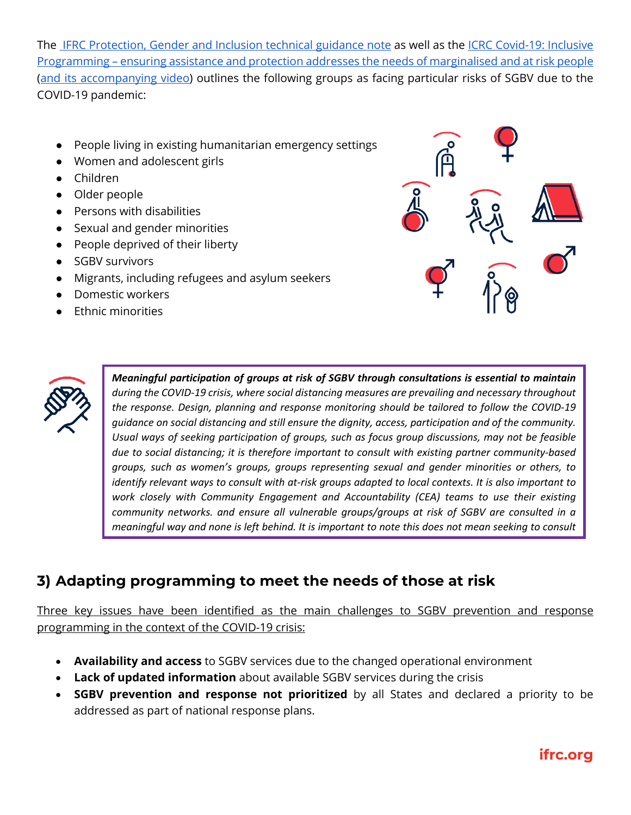The IFRC Protection, Gender and Inclusion technical guidance note as well as the ICRC Covid-19: Inclusive Programming – ensuring assistance and protection addresses the needs of marginalised and at risk people (and its accompanying video) outlines the following groups as facing particular risks of SGBV due to the COVID-19 pandemic:

- People living in existing humanitarian emergency settings
- Women and adolescent girls
- Children
- Older people
- Persons with disabilities
- Sexual and gender minorities
- People deprived of their liberty
- SGBV survivors
- Migrants, including refugees and asylum seekers
- Domestic workers
- **Ethnic minorities**





*Meaningful participation of groups at risk of SGBV through consultations is essential to maintain during the COVID-19 crisis, where social distancing measures are prevailing and necessary throughout the response. Design, planning and response monitoring should be tailored to follow the COVID-19 guidance on social distancing and still ensure the dignity, access, participation and of the community. Usual ways of seeking participation of groups, such as focus group discussions, may not be feasible due to social distancing; it is therefore important to consult with existing partner community-based groups, such as women's groups, groups representing sexual and gender minorities or others, to identify relevant ways to consult with at-risk groups adapted to local contexts. It is also important to work closely with Community Engagement and Accountability (CEA) teams to use their existing community networks. and ensure all vulnerable groups/groups at risk of SGBV are consulted in a meaningful way and none is left behind. It is important to note this does not mean seeking to consult* 

# **3) Adapting programming to meet the needs of those at risk**

*with victims/survivors of SGBV as that can cause harm.*

Three key issues have been identified as the main challenges to SGBV prevention and response programming in the context of the COVID-19 crisis:

- **Availability and access** to SGBV services due to the changed operational environment
- **Lack of updated information** about available SGBV services during the crisis
- **SGBV prevention and response not prioritized** by all States and declared a priority to be addressed as part of national response plans.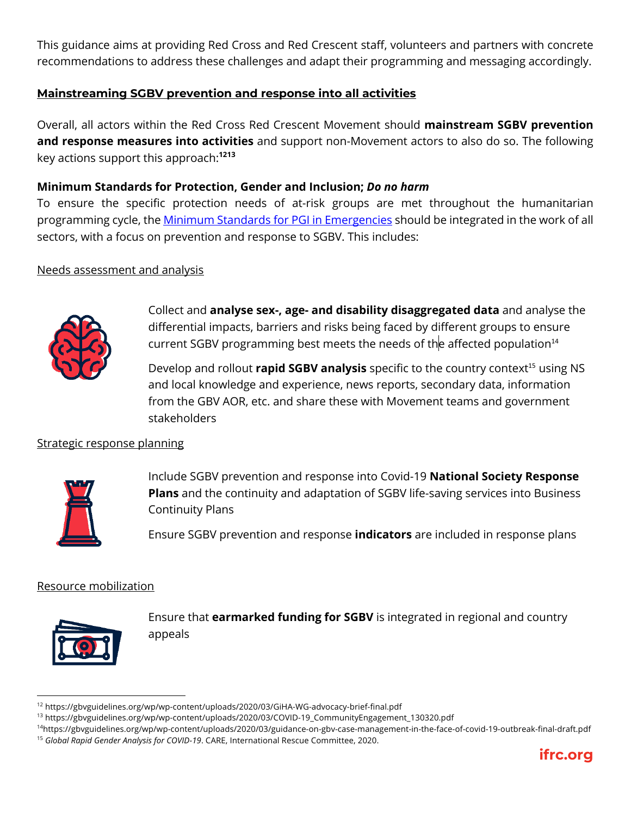This guidance aims at providing Red Cross and Red Crescent staff, volunteers and partners with concrete recommendations to address these challenges and adapt their programming and messaging accordingly.

## **Mainstreaming SGBV prevention and response into all activities**

Overall, all actors within the Red Cross Red Crescent Movement should **mainstream SGBV prevention and response measures into activities** and support non-Movement actors to also do so. The following key actions support this approach:**<sup>1213</sup>**

### **Minimum Standards for Protection, Gender and Inclusion;** *Do no harm*

To ensure the specific protection needs of at-risk groups are met throughout the humanitarian programming cycle, the Minimum Standards for PGI in Emergencies should be integrated in the work of all sectors, with a focus on prevention and response to SGBV. This includes:

#### Needs assessment and analysis



Collect and **analyse sex-, age- and disability disaggregated data** and analyse the differential impacts, barriers and risks being faced by different groups to ensure current SGBV programming best meets the needs of the affected population<sup>14</sup>

Develop and rollout **rapid SGBV analysis** specific to the country context<sup>15</sup> using NS and local knowledge and experience, news reports, secondary data, information from the GBV AOR, etc. and share these with Movement teams and government stakeholders

#### Strategic response planning:



Include SGBV prevention and response into Covid-19 **National Society Response Plans** and the continuity and adaptation of SGBV life-saving services into Business Continuity Plans

Ensure SGBV prevention and response **indicators** are included in response plans

#### Resource mobilization



Ensure that **earmarked funding for SGBV** is integrated in regional and country appeals

<sup>&</sup>lt;sup>14</sup>https://gbvguidelines.org/wp/wp-content/uploads/2020/03/guidance-on-gbv-case-management-in-the-face-of-covid-19-outbreak-final-draft.pdf <sup>15</sup> *Global Rapid Gender Analysis for COVID-19*. CARE, International Rescue Committee, 2020.



<sup>12</sup> https://gbvguidelines.org/wp/wp-content/uploads/2020/03/GiHA-WG-advocacy-brief-final.pdf

<sup>13</sup> https://gbvguidelines.org/wp/wp-content/uploads/2020/03/COVID-19\_CommunityEngagement\_130320.pdf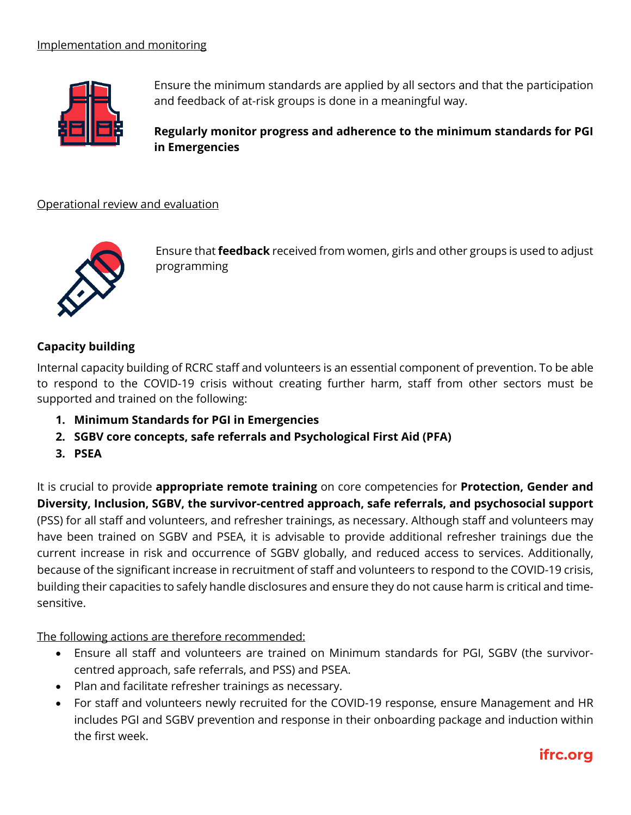

Ensure the minimum standards are applied by all sectors and that the participation and feedback of at-risk groups is done in a meaningful way.

**Regularly monitor progress and adherence to the minimum standards for PGI in Emergencies**

### Operational review and evaluation



Ensure that **feedback** received from women, girls and other groups is used to adjust programming

## **Capacity building**

Internal capacity building of RCRC staff and volunteers is an essential component of prevention. To be able to respond to the COVID-19 crisis without creating further harm, staff from other sectors must be supported and trained on the following:

- **1. Minimum Standards for PGI in Emergencies**
- **2. SGBV core concepts, safe referrals and Psychological First Aid (PFA)**
- **3. PSEA**

It is crucial to provide **appropriate remote training** on core competencies for **Protection, Gender and Diversity, Inclusion, SGBV, the survivor-centred approach, safe referrals, and psychosocial support** (PSS) for all staff and volunteers, and refresher trainings, as necessary. Although staff and volunteers may have been trained on SGBV and PSEA, it is advisable to provide additional refresher trainings due the current increase in risk and occurrence of SGBV globally, and reduced access to services. Additionally, because of the significant increase in recruitment of staff and volunteers to respond to the COVID-19 crisis, building their capacities to safely handle disclosures and ensure they do not cause harm is critical and timesensitive.

The following actions are therefore recommended:

- Ensure all staff and volunteers are trained on Minimum standards for PGI, SGBV (the survivorcentred approach, safe referrals, and PSS) and PSEA.
- Plan and facilitate refresher trainings as necessary.
- For staff and volunteers newly recruited for the COVID-19 response, ensure Management and HR includes PGI and SGBV prevention and response in their onboarding package and induction within the first week.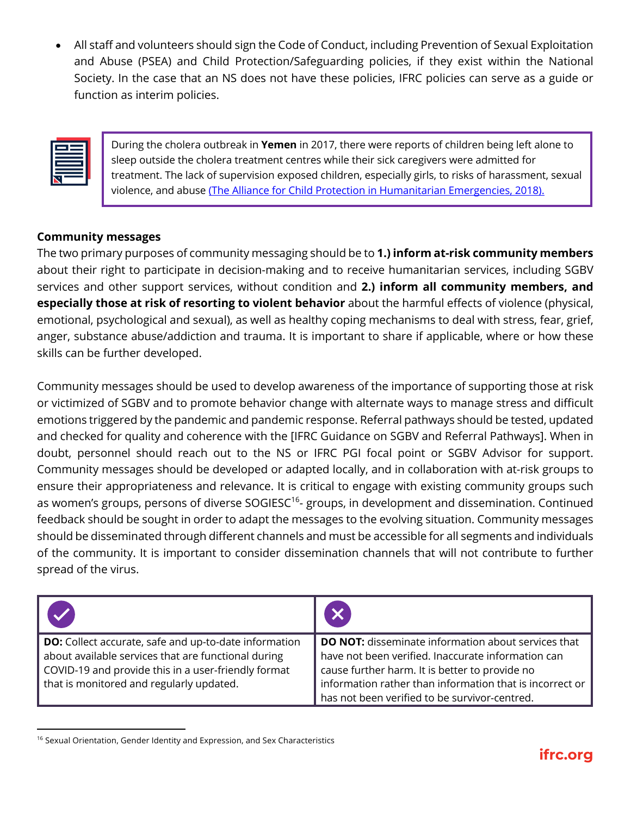• All staff and volunteers should sign the Code of Conduct, including Prevention of Sexual Exploitation and Abuse (PSEA) and Child Protection/Safeguarding policies, if they exist within the National Society. In the case that an NS does not have these policies, IFRC policies can serve as a guide or function as interim policies.

During the cholera outbreak in **Yemen** in 2017, there were reports of children being left alone to sleep outside the cholera treatment centres while their sick caregivers were admitted for treatment. The lack of supervision exposed children, especially girls, to risks of harassment, sexual violence, and abuse (The Alliance for Child Protection in Humanitarian Emergencies, 2018).

## **Community messages**

The two primary purposes of community messaging should be to **1.) inform at-risk community members** about their right to participate in decision-making and to receive humanitarian services, including SGBV services and other support services, without condition and **2.) inform all community members, and especially those at risk of resorting to violent behavior** about the harmful effects of violence (physical, emotional, psychological and sexual), as well as healthy coping mechanisms to deal with stress, fear, grief, anger, substance abuse/addiction and trauma. It is important to share if applicable, where or how these skills can be further developed.

Community messages should be used to develop awareness of the importance of supporting those at risk or victimized of SGBV and to promote behavior change with alternate ways to manage stress and difficult emotions triggered by the pandemic and pandemic response. Referral pathways should be tested, updated and checked for quality and coherence with the [IFRC Guidance on SGBV and Referral Pathways]. When in doubt, personnel should reach out to the NS or IFRC PGI focal point or SGBV Advisor for support. Community messages should be developed or adapted locally, and in collaboration with at-risk groups to ensure their appropriateness and relevance. It is critical to engage with existing community groups such as women's groups, persons of diverse SOGIESC<sup>16</sup>- groups, in development and dissemination. Continued feedback should be sought in order to adapt the messages to the evolving situation. Community messages should be disseminated through different channels and must be accessible for all segments and individuals of the community. It is important to consider dissemination channels that will not contribute to further spread of the virus.

| <b>DO:</b> Collect accurate, safe and up-to-date information<br>about available services that are functional during | <b>DO NOT:</b> disseminate information about services that<br>have not been verified. Inaccurate information can |
|---------------------------------------------------------------------------------------------------------------------|------------------------------------------------------------------------------------------------------------------|
| COVID-19 and provide this in a user-friendly format                                                                 | cause further harm. It is better to provide no                                                                   |
| that is monitored and regularly updated.                                                                            | information rather than information that is incorrect or<br>has not been verified to be survivor-centred.        |

<sup>&</sup>lt;sup>16</sup> Sexual Orientation, Gender Identity and Expression, and Sex Characteristics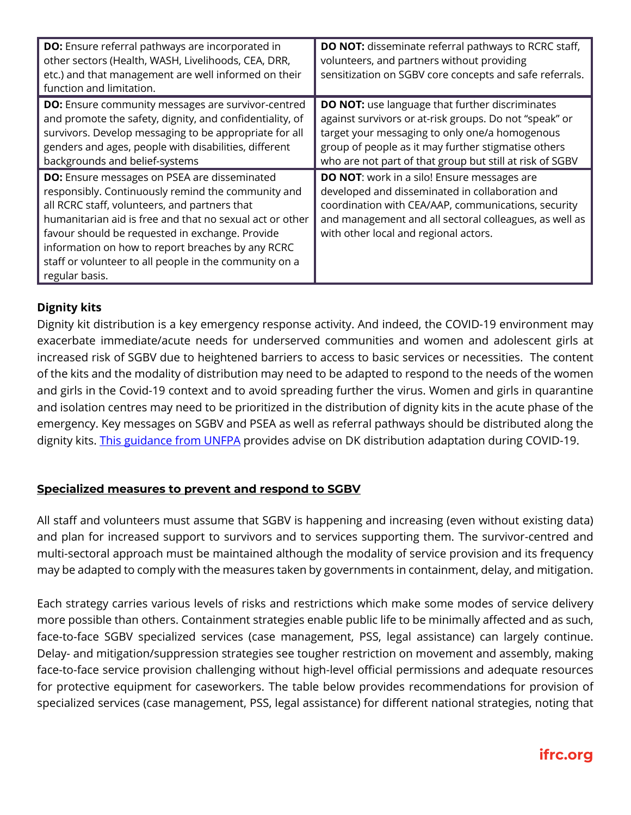| <b>DO:</b> Ensure referral pathways are incorporated in<br>other sectors (Health, WASH, Livelihoods, CEA, DRR,<br>etc.) and that management are well informed on their<br>function and limitation.                                                                                                                                                                                                         | <b>DO NOT:</b> disseminate referral pathways to RCRC staff,<br>volunteers, and partners without providing<br>sensitization on SGBV core concepts and safe referrals.                                                                                                                  |
|------------------------------------------------------------------------------------------------------------------------------------------------------------------------------------------------------------------------------------------------------------------------------------------------------------------------------------------------------------------------------------------------------------|---------------------------------------------------------------------------------------------------------------------------------------------------------------------------------------------------------------------------------------------------------------------------------------|
| <b>DO:</b> Ensure community messages are survivor-centred<br>and promote the safety, dignity, and confidentiality, of<br>survivors. Develop messaging to be appropriate for all<br>genders and ages, people with disabilities, different<br>backgrounds and belief-systems                                                                                                                                 | <b>DO NOT:</b> use language that further discriminates<br>against survivors or at-risk groups. Do not "speak" or<br>target your messaging to only one/a homogenous<br>group of people as it may further stigmatise others<br>who are not part of that group but still at risk of SGBV |
| <b>DO:</b> Ensure messages on PSEA are disseminated<br>responsibly. Continuously remind the community and<br>all RCRC staff, volunteers, and partners that<br>humanitarian aid is free and that no sexual act or other<br>favour should be requested in exchange. Provide<br>information on how to report breaches by any RCRC<br>staff or volunteer to all people in the community on a<br>regular basis. | <b>DO NOT:</b> work in a silo! Ensure messages are<br>developed and disseminated in collaboration and<br>coordination with CEA/AAP, communications, security<br>and management and all sectoral colleagues, as well as<br>with other local and regional actors.                       |

## **Dignity kits**

Dignity kit distribution is a key emergency response activity. And indeed, the COVID-19 environment may exacerbate immediate/acute needs for underserved communities and women and adolescent girls at increased risk of SGBV due to heightened barriers to access to basic services or necessities. The content of the kits and the modality of distribution may need to be adapted to respond to the needs of the women and girls in the Covid-19 context and to avoid spreading further the virus. Women and girls in quarantine and isolation centres may need to be prioritized in the distribution of dignity kits in the acute phase of the emergency. Key messages on SGBV and PSEA as well as referral pathways should be distributed along the dignity kits. This guidance from UNFPA provides advise on DK distribution adaptation during COVID-19.

## **Specialized measures to prevent and respond to SGBV**

All staff and volunteers must assume that SGBV is happening and increasing (even without existing data) and plan for increased support to survivors and to services supporting them. The survivor-centred and multi-sectoral approach must be maintained although the modality of service provision and its frequency may be adapted to comply with the measures taken by governments in containment, delay, and mitigation.

Each strategy carries various levels of risks and restrictions which make some modes of service delivery more possible than others. Containment strategies enable public life to be minimally affected and as such, face-to-face SGBV specialized services (case management, PSS, legal assistance) can largely continue. Delay- and mitigation/suppression strategies see tougher restriction on movement and assembly, making face-to-face service provision challenging without high-level official permissions and adequate resources for protective equipment for caseworkers. The table below provides recommendations for provision of specialized services (case management, PSS, legal assistance) for different national strategies, noting that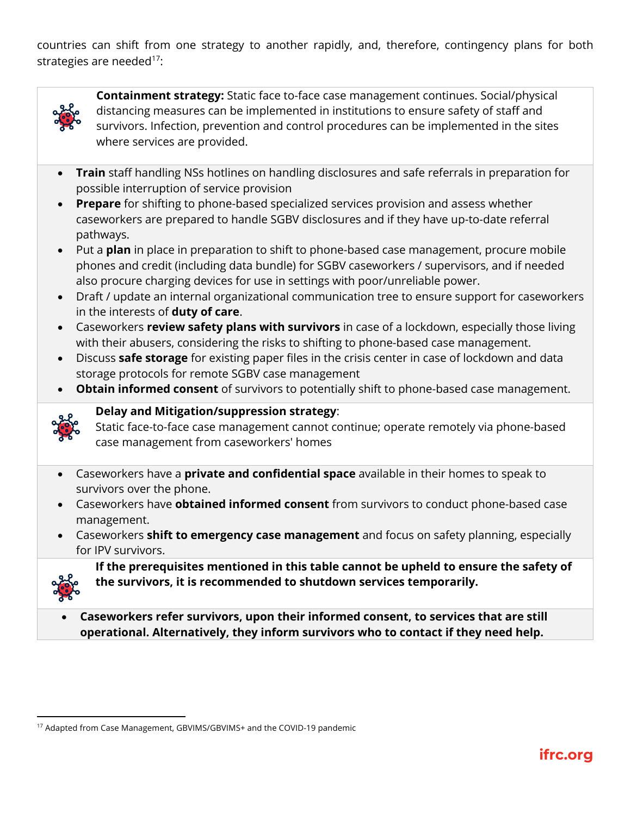countries can shift from one strategy to another rapidly, and, therefore, contingency plans for both strategies are needed $17$ :



**Containment strategy:** Static face to-face case management continues. Social/physical distancing measures can be implemented in institutions to ensure safety of staff and survivors. Infection, prevention and control procedures can be implemented in the sites where services are provided.

- **Train** staff handling NSs hotlines on handling disclosures and safe referrals in preparation for possible interruption of service provision
- **Prepare** for shifting to phone-based specialized services provision and assess whether caseworkers are prepared to handle SGBV disclosures and if they have up-to-date referral pathways.
- Put a **plan** in place in preparation to shift to phone-based case management, procure mobile phones and credit (including data bundle) for SGBV caseworkers / supervisors, and if needed also procure charging devices for use in settings with poor/unreliable power.
- Draft / update an internal organizational communication tree to ensure support for caseworkers in the interests of **duty of care**.
- Caseworkers **review safety plans with survivors** in case of a lockdown, especially those living with their abusers, considering the risks to shifting to phone-based case management.
- Discuss **safe storage** for existing paper files in the crisis center in case of lockdown and data storage protocols for remote SGBV case management
- **Obtain informed consent** of survivors to potentially shift to phone-based case management.



# **Delay and Mitigation/suppression strategy**:

Static face-to-face case management cannot continue; operate remotely via phone-based case management from caseworkers' homes

- Caseworkers have a **private and confidential space** available in their homes to speak to survivors over the phone.
- Caseworkers have **obtained informed consent** from survivors to conduct phone-based case management.
- Caseworkers **shift to emergency case management** and focus on safety planning, especially for IPV survivors.



**If the prerequisites mentioned in this table cannot be upheld to ensure the safety of the survivors, it is recommended to shutdown services temporarily.**

• **Caseworkers refer survivors, upon their informed consent, to services that are still operational. Alternatively, they inform survivors who to contact if they need help.**

<sup>&</sup>lt;sup>17</sup> Adapted from Case Management, GBVIMS/GBVIMS+ and the COVID-19 pandemic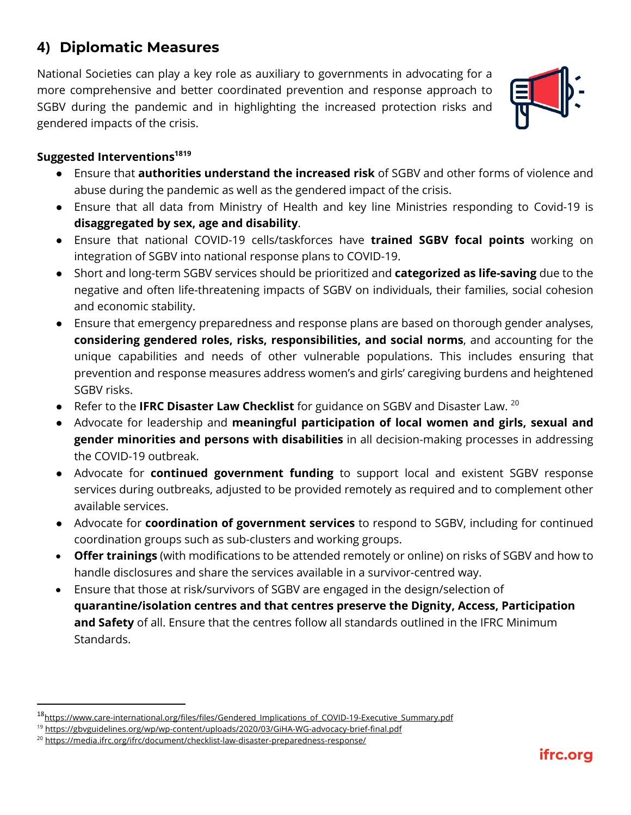# **4) Diplomatic Measures**

National Societies can play a key role as auxiliary to governments in advocating for a more comprehensive and better coordinated prevention and response approach to SGBV during the pandemic and in highlighting the increased protection risks and gendered impacts of the crisis.



## **Suggested Interventions1819**

- Ensure that **authorities understand the increased risk** of SGBV and other forms of violence and abuse during the pandemic as well as the gendered impact of the crisis.
- Ensure that all data from Ministry of Health and key line Ministries responding to Covid-19 is **disaggregated by sex, age and disability**.
- Ensure that national COVID-19 cells/taskforces have **trained SGBV focal points** working on integration of SGBV into national response plans to COVID-19.
- Short and long-term SGBV services should be prioritized and **categorized as life-saving** due to the negative and often life-threatening impacts of SGBV on individuals, their families, social cohesion and economic stability.
- Ensure that emergency preparedness and response plans are based on thorough gender analyses, **considering gendered roles, risks, responsibilities, and social norms**, and accounting for the unique capabilities and needs of other vulnerable populations. This includes ensuring that prevention and response measures address women's and girls' caregiving burdens and heightened SGBV risks.
- Refer to the **IFRC Disaster Law Checklist** for guidance on SGBV and Disaster Law. <sup>20</sup>
- Advocate for leadership and **meaningful participation of local women and girls, sexual and gender minorities and persons with disabilities** in all decision-making processes in addressing the COVID-19 outbreak.
- Advocate for **continued government funding** to support local and existent SGBV response services during outbreaks, adjusted to be provided remotely as required and to complement other available services.
- Advocate for **coordination of government services** to respond to SGBV, including for continued coordination groups such as sub-clusters and working groups.
- **Offer trainings** (with modifications to be attended remotely or online) on risks of SGBV and how to handle disclosures and share the services available in a survivor-centred way.
- Ensure that those at risk/survivors of SGBV are engaged in the design/selection of **quarantine/isolation centres and that centres preserve the Dignity, Access, Participation and Safety** of all. Ensure that the centres follow all standards outlined in the IFRC Minimum Standards.

<sup>&</sup>lt;sup>18</sup>https://www.care-international.org/files/files/Gendered\_Implications\_of\_COVID-19-Executive\_Summary.pdf

<sup>&</sup>lt;sup>19</sup> https://gbvguidelines.org/wp/wp-content/uploads/2020/03/GiHA-WG-advocacy-brief-final.pdf

<sup>&</sup>lt;sup>20</sup> https://media.ifrc.org/ifrc/document/checklist-law-disaster-preparedness-response/